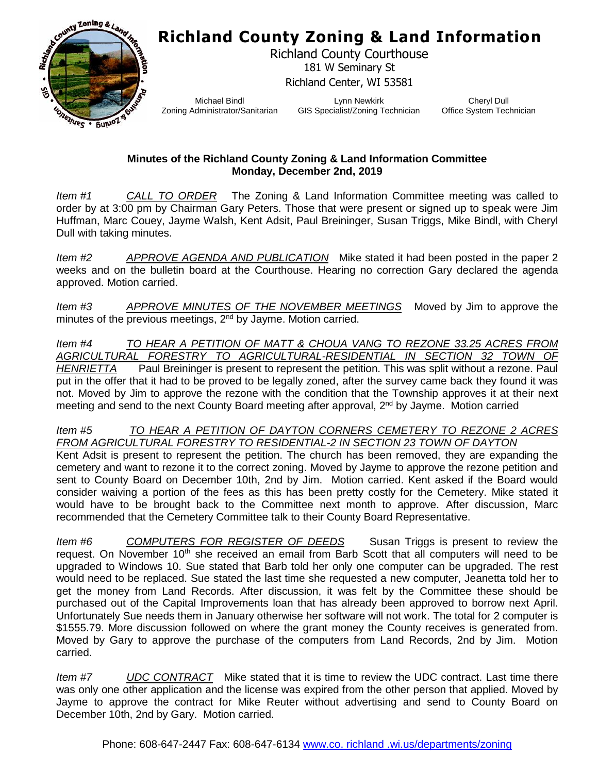## **Richland County Zoning & Land Information**



Richland County Courthouse 181 W Seminary St Richland Center, WI 53581

Michael Bindl Zoning Administrator/Sanitarian

Lynn Newkirk GIS Specialist/Zoning Technician

Cheryl Dull Office System Technician

## **Minutes of the Richland County Zoning & Land Information Committee Monday, December 2nd, 2019**

*Item #1 CALL TO ORDER* The Zoning & Land Information Committee meeting was called to order by at 3:00 pm by Chairman Gary Peters. Those that were present or signed up to speak were Jim Huffman, Marc Couey, Jayme Walsh, Kent Adsit, Paul Breininger, Susan Triggs, Mike Bindl, with Cheryl Dull with taking minutes.

*Item #2 APPROVE AGENDA AND PUBLICATION* Mike stated it had been posted in the paper 2 weeks and on the bulletin board at the Courthouse. Hearing no correction Gary declared the agenda approved. Motion carried.

*Item #3 APPROVE MINUTES OF THE NOVEMBER MEETINGS* Moved by Jim to approve the minutes of the previous meetings, 2<sup>nd</sup> by Jayme. Motion carried.

*Item #4 TO HEAR A PETITION OF MATT & CHOUA VANG TO REZONE 33.25 ACRES FROM AGRICULTURAL FORESTRY TO AGRICULTURAL-RESIDENTIAL IN SECTION 32 TOWN OF HENRIETTA* Paul Breininger is present to represent the petition. This was split without a rezone. Paul put in the offer that it had to be proved to be legally zoned, after the survey came back they found it was not. Moved by Jim to approve the rezone with the condition that the Township approves it at their next meeting and send to the next County Board meeting after approval, 2<sup>nd</sup> by Jayme. Motion carried

## *Item #5 TO HEAR A PETITION OF DAYTON CORNERS CEMETERY TO REZONE 2 ACRES FROM AGRICULTURAL FORESTRY TO RESIDENTIAL-2 IN SECTION 23 TOWN OF DAYTON*

Kent Adsit is present to represent the petition. The church has been removed, they are expanding the cemetery and want to rezone it to the correct zoning. Moved by Jayme to approve the rezone petition and sent to County Board on December 10th, 2nd by Jim. Motion carried. Kent asked if the Board would consider waiving a portion of the fees as this has been pretty costly for the Cemetery. Mike stated it would have to be brought back to the Committee next month to approve. After discussion, Marc recommended that the Cemetery Committee talk to their County Board Representative.

*Item #6 COMPUTERS FOR REGISTER OF DEEDS* Susan Triggs is present to review the request. On November 10<sup>th</sup> she received an email from Barb Scott that all computers will need to be upgraded to Windows 10. Sue stated that Barb told her only one computer can be upgraded. The rest would need to be replaced. Sue stated the last time she requested a new computer, Jeanetta told her to get the money from Land Records. After discussion, it was felt by the Committee these should be purchased out of the Capital Improvements loan that has already been approved to borrow next April. Unfortunately Sue needs them in January otherwise her software will not work. The total for 2 computer is \$1555.79. More discussion followed on where the grant money the County receives is generated from. Moved by Gary to approve the purchase of the computers from Land Records, 2nd by Jim. Motion carried.

*Item #7 UDC CONTRACT* Mike stated that it is time to review the UDC contract. Last time there was only one other application and the license was expired from the other person that applied. Moved by Jayme to approve the contract for Mike Reuter without advertising and send to County Board on December 10th, 2nd by Gary. Motion carried.